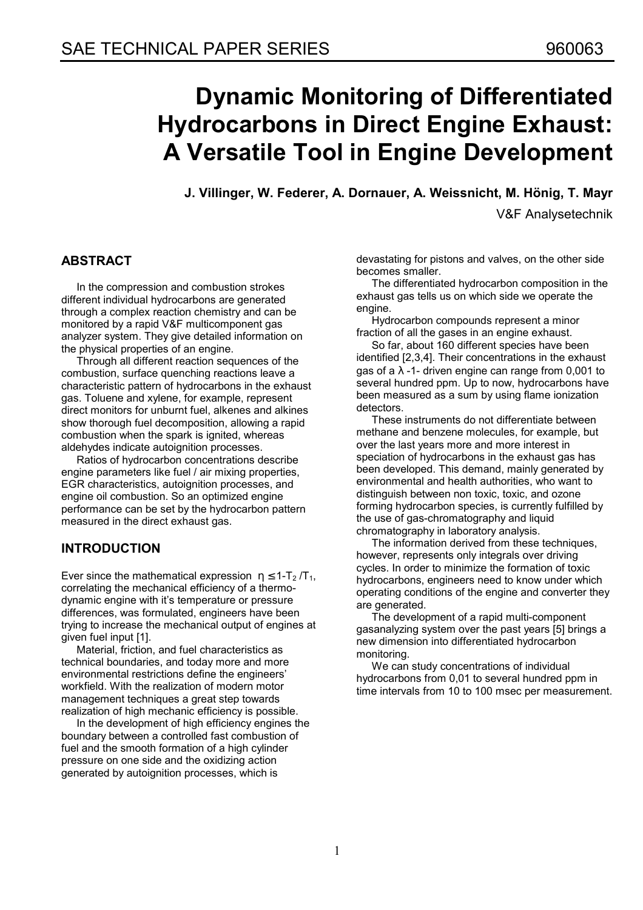# **Dynamic Monitoring of Differentiated Hydrocarbons in Direct Engine Exhaust: A Versatile Tool in Engine Development**

**J. Villinger, W. Federer, A. Dornauer, A. Weissnicht, M. Hˆnig, T. Mayr** 

V&F Analysetechnik

# **ABSTRACT**

In the compression and combustion strokes different individual hydrocarbons are generated through a complex reaction chemistry and can be monitored by a rapid V&F multicomponent gas analyzer system. They give detailed information on the physical properties of an engine.

Through all different reaction sequences of the combustion, surface quenching reactions leave a characteristic pattern of hydrocarbons in the exhaust gas. Toluene and xylene, for example, represent direct monitors for unburnt fuel, alkenes and alkines show thorough fuel decomposition, allowing a rapid combustion when the spark is ignited, whereas aldehydes indicate autoignition processes.

Ratios of hydrocarbon concentrations describe engine parameters like fuel / air mixing properties, EGR characteristics, autoignition processes, and engine oil combustion. So an optimized engine performance can be set by the hydrocarbon pattern measured in the direct exhaust gas.

# **INTRODUCTION**

Ever since the mathematical expression  $\eta \leq 1-T_2/T_1$ , correlating the mechanical efficiency of a thermodynamic engine with it's temperature or pressure differences, was formulated, engineers have been trying to increase the mechanical output of engines at given fuel input [1].

Material, friction, and fuel characteristics as technical boundaries, and today more and more environmental restrictions define the engineers' workfield. With the realization of modern motor management techniques a great step towards realization of high mechanic efficiency is possible.

In the development of high efficiency engines the boundary between a controlled fast combustion of fuel and the smooth formation of a high cylinder pressure on one side and the oxidizing action generated by autoignition processes, which is

devastating for pistons and valves, on the other side becomes smaller.

The differentiated hydrocarbon composition in the exhaust gas tells us on which side we operate the engine.

Hydrocarbon compounds represent a minor fraction of all the gases in an engine exhaust.

So far, about 160 different species have been identified [2,3,4]. Their concentrations in the exhaust gas of a  $\lambda$  -1- driven engine can range from 0,001 to several hundred ppm. Up to now, hydrocarbons have been measured as a sum by using flame ionization detectors.

These instruments do not differentiate between methane and benzene molecules, for example, but over the last years more and more interest in speciation of hydrocarbons in the exhaust gas has been developed. This demand, mainly generated by environmental and health authorities, who want to distinguish between non toxic, toxic, and ozone forming hydrocarbon species, is currently fulfilled by the use of gas-chromatography and liquid chromatography in laboratory analysis.

The information derived from these techniques, however, represents only integrals over driving cycles. In order to minimize the formation of toxic hydrocarbons, engineers need to know under which operating conditions of the engine and converter they are generated.

The development of a rapid multi-component gasanalyzing system over the past years [5] brings a new dimension into differentiated hydrocarbon monitoring.

We can study concentrations of individual hydrocarbons from 0,01 to several hundred ppm in time intervals from 10 to 100 msec per measurement.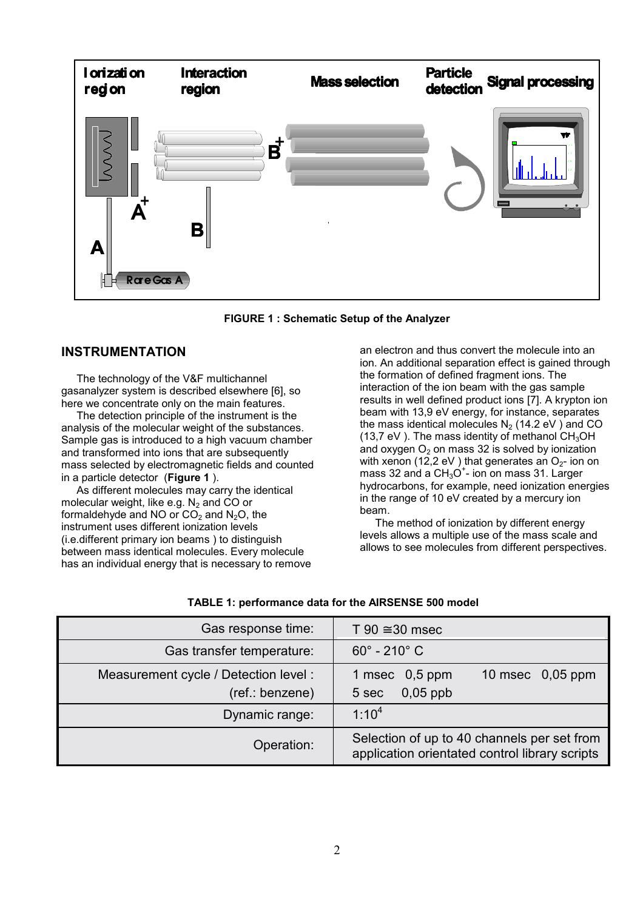

**FIGURE 1 : Schematic Setup of the Analyzer** 

### **INSTRUMENTATION**

The technology of the V&F multichannel gasanalyzer system is described elsewhere [6], so here we concentrate only on the main features.

The detection principle of the instrument is the analysis of the molecular weight of the substances. Sample gas is introduced to a high vacuum chamber and transformed into ions that are subsequently mass selected by electromagnetic fields and counted in a particle detector (**Figure 1** ).

As different molecules may carry the identical molecular weight, like e.g.  $N_2$  and CO or formaldehyde and NO or  $CO<sub>2</sub>$  and N<sub>2</sub>O, the instrument uses different ionization levels (i.e.different primary ion beams ) to distinguish between mass identical molecules. Every molecule has an individual energy that is necessary to remove an electron and thus convert the molecule into an ion. An additional separation effect is gained through the formation of defined fragment ions. The interaction of the ion beam with the gas sample results in well defined product ions [7]. A krypton ion beam with 13,9 eV energy, for instance, separates the mass identical molecules  $N_2$  (14.2 eV) and CO (13,7 eV). The mass identity of methanol  $CH<sub>3</sub>OH$ and oxygen  $O<sub>2</sub>$  on mass 32 is solved by ionization with xenon (12,2 eV) that generates an  $O_{2}$ - ion on mass 32 and a  $CH_3O^+$ - ion on mass 31. Larger hydrocarbons, for example, need ionization energies in the range of 10 eV created by a mercury ion beam.

The method of ionization by different energy levels allows a multiple use of the mass scale and allows to see molecules from different perspectives.

| Gas response time:                                       | T 90 $\approx$ 30 msec                                                                        |
|----------------------------------------------------------|-----------------------------------------------------------------------------------------------|
| Gas transfer temperature:                                | $60^{\circ}$ - 210 $^{\circ}$ C                                                               |
| Measurement cycle / Detection level :<br>(ref.: benzene) | 1 msec $0,5$ ppm<br>10 msec $0,05$ ppm<br>$0,05$ ppb<br>5 sec                                 |
| Dynamic range:                                           | $1:10^{4}$                                                                                    |
| Operation:                                               | Selection of up to 40 channels per set from<br>application orientated control library scripts |

#### **TABLE 1: performance data for the AIRSENSE 500 model**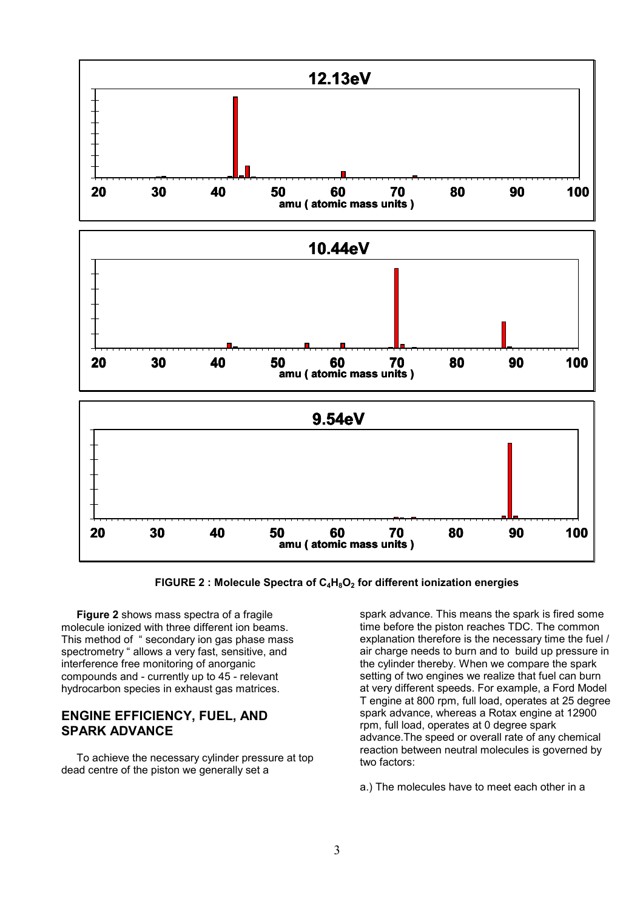

FIGURE 2 : Molecule Spectra of C<sub>4</sub>H<sub>8</sub>O<sub>2</sub> for different ionization energies

**Figure 2** shows mass spectra of a fragile molecule ionized with three different ion beams. This method of "secondary ion gas phase mass spectrometry " allows a very fast, sensitive, and interference free monitoring of anorganic compounds and - currently up to 45 - relevant hydrocarbon species in exhaust gas matrices.

## **ENGINE EFFICIENCY, FUEL, AND SPARK ADVANCE**

To achieve the necessary cylinder pressure at top dead centre of the piston we generally set a

spark advance. This means the spark is fired some time before the piston reaches TDC. The common explanation therefore is the necessary time the fuel / air charge needs to burn and to build up pressure in the cylinder thereby. When we compare the spark setting of two engines we realize that fuel can burn at very different speeds. For example, a Ford Model T engine at 800 rpm, full load, operates at 25 degree spark advance, whereas a Rotax engine at 12900 rpm, full load, operates at 0 degree spark advance.The speed or overall rate of any chemical reaction between neutral molecules is governed by two factors:

a.) The molecules have to meet each other in a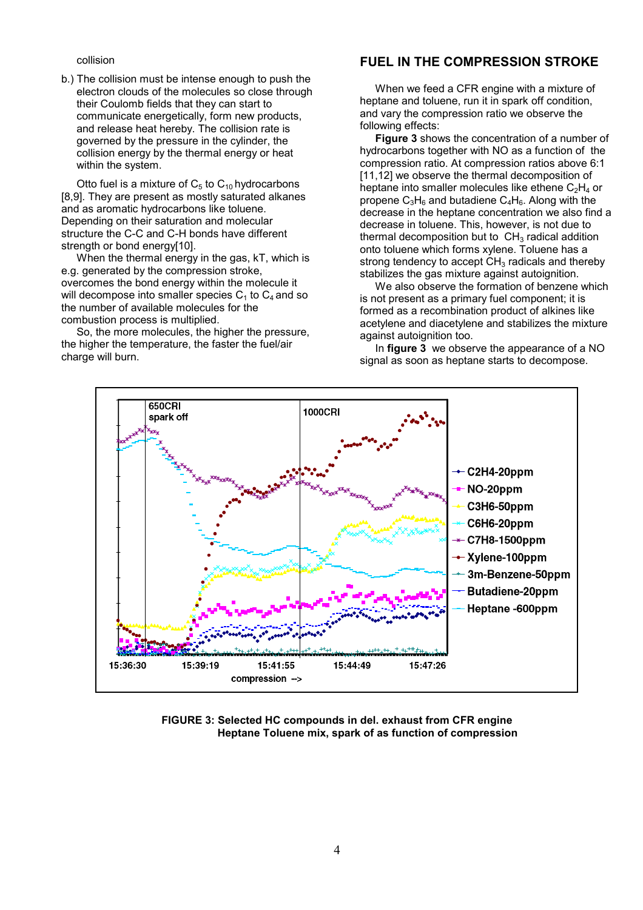#### collision

b.) The collision must be intense enough to push the electron clouds of the molecules so close through their Coulomb fields that they can start to communicate energetically, form new products, and release heat hereby. The collision rate is governed by the pressure in the cylinder, the collision energy by the thermal energy or heat within the system.

Otto fuel is a mixture of  $C_5$  to  $C_{10}$  hydrocarbons [8,9]. They are present as mostly saturated alkanes and as aromatic hydrocarbons like toluene. Depending on their saturation and molecular structure the C-C and C-H bonds have different strength or bond energy[10].

When the thermal energy in the gas, kT, which is e.g. generated by the compression stroke, overcomes the bond energy within the molecule it will decompose into smaller species  $C_1$  to  $C_4$  and so the number of available molecules for the combustion process is multiplied.

So, the more molecules, the higher the pressure, the higher the temperature, the faster the fuel/air charge will burn.

## **FUEL IN THE COMPRESSION STROKE**

When we feed a CFR engine with a mixture of heptane and toluene, run it in spark off condition, and vary the compression ratio we observe the following effects:

**Figure 3** shows the concentration of a number of hydrocarbons together with NO as a function of the compression ratio. At compression ratios above 6:1 [11,12] we observe the thermal decomposition of heptane into smaller molecules like ethene  $C_2H_4$  or propene  $C_3H_6$  and butadiene  $C_4H_6$ . Along with the decrease in the heptane concentration we also find a decrease in toluene. This, however, is not due to thermal decomposition but to  $CH<sub>3</sub>$  radical addition onto toluene which forms xylene. Toluene has a strong tendency to accept  $CH<sub>3</sub>$  radicals and thereby stabilizes the gas mixture against autoignition.

We also observe the formation of benzene which is not present as a primary fuel component; it is formed as a recombination product of alkines like acetylene and diacetylene and stabilizes the mixture against autoignition too.

In **figure 3** we observe the appearance of a NO signal as soon as heptane starts to decompose.



**FIGURE 3: Selected HC compounds in del. exhaust from CFR engine Heptane Toluene mix, spark of as function of compression**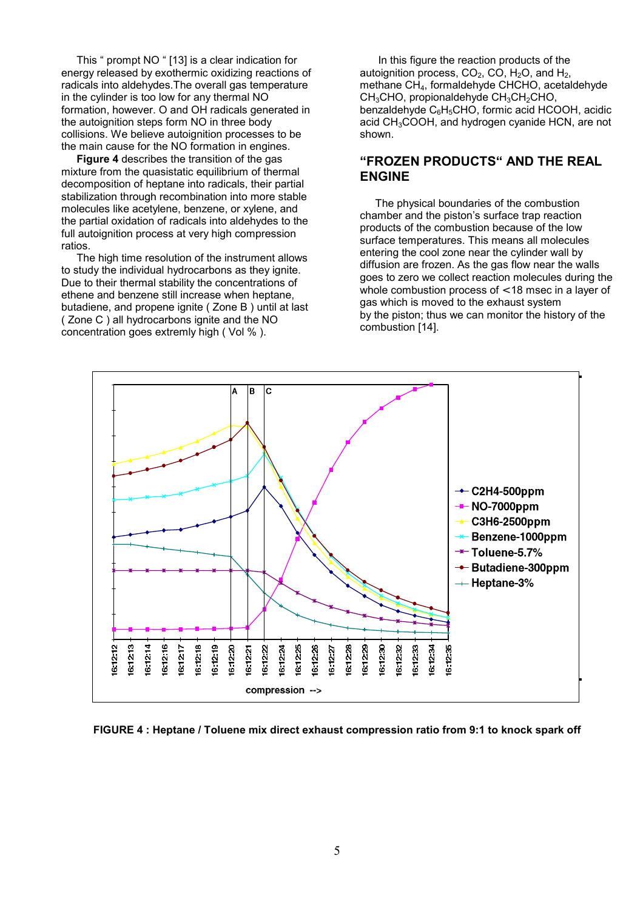This  $\degree$  prompt NO  $\degree$  [13] is a clear indication for energy released by exothermic oxidizing reactions of radicals into aldehydes.The overall gas temperature in the cylinder is too low for any thermal NO formation, however. O and OH radicals generated in the autoignition steps form NO in three body collisions. We believe autoignition processes to be the main cause for the NO formation in engines.

**Figure 4** describes the transition of the gas mixture from the quasistatic equilibrium of thermal decomposition of heptane into radicals, their partial stabilization through recombination into more stable molecules like acetylene, benzene, or xylene, and the partial oxidation of radicals into aldehydes to the full autoignition process at very high compression ratios.

The high time resolution of the instrument allows to study the individual hydrocarbons as they ignite. Due to their thermal stability the concentrations of ethene and benzene still increase when heptane, butadiene, and propene ignite ( Zone B ) until at last ( Zone C ) all hydrocarbons ignite and the NO concentration goes extremly high ( Vol % ).

 In this figure the reaction products of the autoignition process,  $CO<sub>2</sub>$ ,  $CO<sub>1</sub>$ , H<sub>2</sub>O, and H<sub>2</sub>, methane CH4, formaldehyde CHCHO, acetaldehyde CH<sub>3</sub>CHO, propionaldehyde CH<sub>3</sub>CH<sub>2</sub>CHO, benzaldehyde  $C_6H_5CHO$ , formic acid HCOOH, acidic acid CH<sub>3</sub>COOH, and hydrogen cyanide HCN, are not shown.

## *"FROZEN PRODUCTS" AND THE REAL* **ENGINE**

The physical boundaries of the combustion chamber and the piston's surface trap reaction products of the combustion because of the low surface temperatures. This means all molecules entering the cool zone near the cylinder wall by diffusion are frozen. As the gas flow near the walls goes to zero we collect reaction molecules during the whole combustion process of < 18 msec in a layer of gas which is moved to the exhaust system by the piston; thus we can monitor the history of the combustion [14].



**FIGURE 4 : Heptane / Toluene mix direct exhaust compression ratio from 9:1 to knock spark off**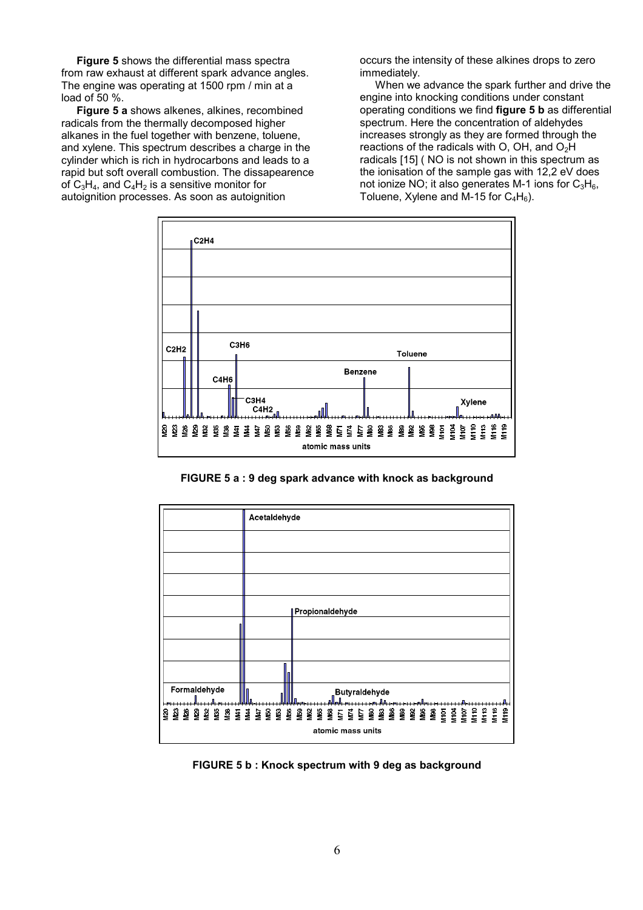**Figure 5** shows the differential mass spectra from raw exhaust at different spark advance angles. The engine was operating at 1500 rpm / min at a load of 50 %.

**Figure 5 a** shows alkenes, alkines, recombined radicals from the thermally decomposed higher alkanes in the fuel together with benzene, toluene, and xylene. This spectrum describes a charge in the cylinder which is rich in hydrocarbons and leads to a rapid but soft overall combustion. The dissapearence of  $C_3H_4$ , and  $C_4H_2$  is a sensitive monitor for autoignition processes. As soon as autoignition

occurs the intensity of these alkines drops to zero immediately.

When we advance the spark further and drive the engine into knocking conditions under constant operating conditions we find **figure 5 b** as differential spectrum. Here the concentration of aldehydes increases strongly as they are formed through the reactions of the radicals with O, OH, and  $O<sub>2</sub>H$ radicals [15] ( NO is not shown in this spectrum as the ionisation of the sample gas with 12,2 eV does not ionize NO; it also generates M-1 ions for  $C_3H_6$ , Toluene, Xylene and M-15 for  $C_4H_6$ ).



**FIGURE 5 a : 9 deg spark advance with knock as background** 



**FIGURE 5 b : Knock spectrum with 9 deg as background**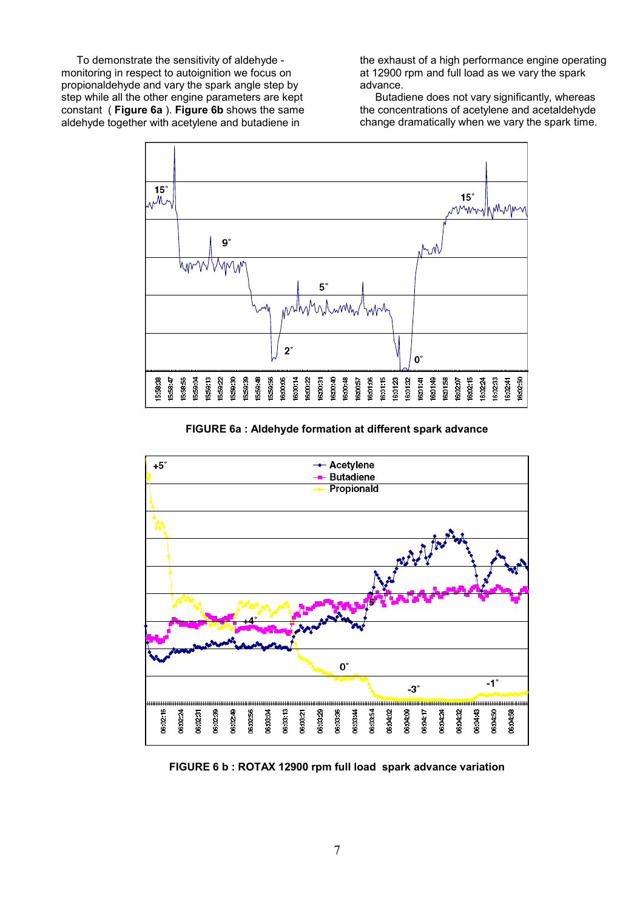To demonstrate the sensitivity of aldehyde monitoring in respect to autoignition we focus on propionaldehyde and vary the spark angle step by step while all the other engine parameters are kept constant ( **Figure 6a** ). **Figure 6b** shows the same aldehyde together with acetylene and butadiene in

the exhaust of a high performance engine operating at 12900 rpm and full load as we vary the spark advance.

Butadiene does not vary significantly, whereas the concentrations of acetylene and acetaldehyde change dramatically when we vary the spark time.



**FIGURE 6a : Aldehyde formation at different spark advance**



**FIGURE 6 b : ROTAX 12900 rpm full load spark advance variation**